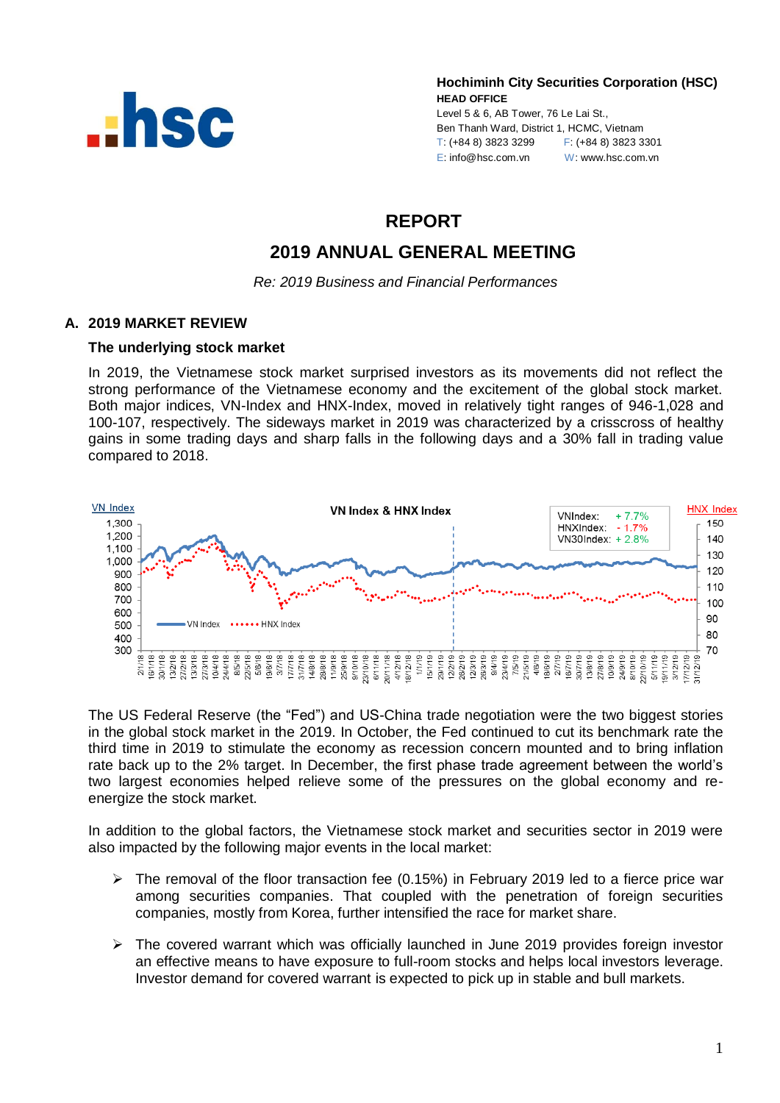

**Hochiminh City Securities Corporation (HSC) HEAD OFFICE**

Level 5 & 6, AB Tower, 76 Le Lai St., Ben Thanh Ward, District 1, HCMC, Vietnam T: (+84 8) 3823 3299 F: (+84 8) 3823 3301 E: info@hsc.com.vn W: www.hsc.com.vn

# **REPORT**

# **2019 ANNUAL GENERAL MEETING**

*Re: 2019 Business and Financial Performances*

## **A. 2019 MARKET REVIEW**

## **The underlying stock market**

In 2019, the Vietnamese stock market surprised investors as its movements did not reflect the strong performance of the Vietnamese economy and the excitement of the global stock market. Both major indices, VN-Index and HNX-Index, moved in relatively tight ranges of 946-1,028 and 100-107, respectively. The sideways market in 2019 was characterized by a crisscross of healthy gains in some trading days and sharp falls in the following days and a 30% fall in trading value compared to 2018.



The US Federal Reserve (the "Fed") and US-China trade negotiation were the two biggest stories in the global stock market in the 2019. In October, the Fed continued to cut its benchmark rate the third time in 2019 to stimulate the economy as recession concern mounted and to bring inflation rate back up to the 2% target. In December, the first phase trade agreement between the world's two largest economies helped relieve some of the pressures on the global economy and reenergize the stock market.

In addition to the global factors, the Vietnamese stock market and securities sector in 2019 were also impacted by the following major events in the local market:

- The removal of the floor transaction fee (0.15%) in February 2019 led to a fierce price war among securities companies. That coupled with the penetration of foreign securities companies, mostly from Korea, further intensified the race for market share.
- $\triangleright$  The covered warrant which was officially launched in June 2019 provides foreign investor an effective means to have exposure to full-room stocks and helps local investors leverage. Investor demand for covered warrant is expected to pick up in stable and bull markets.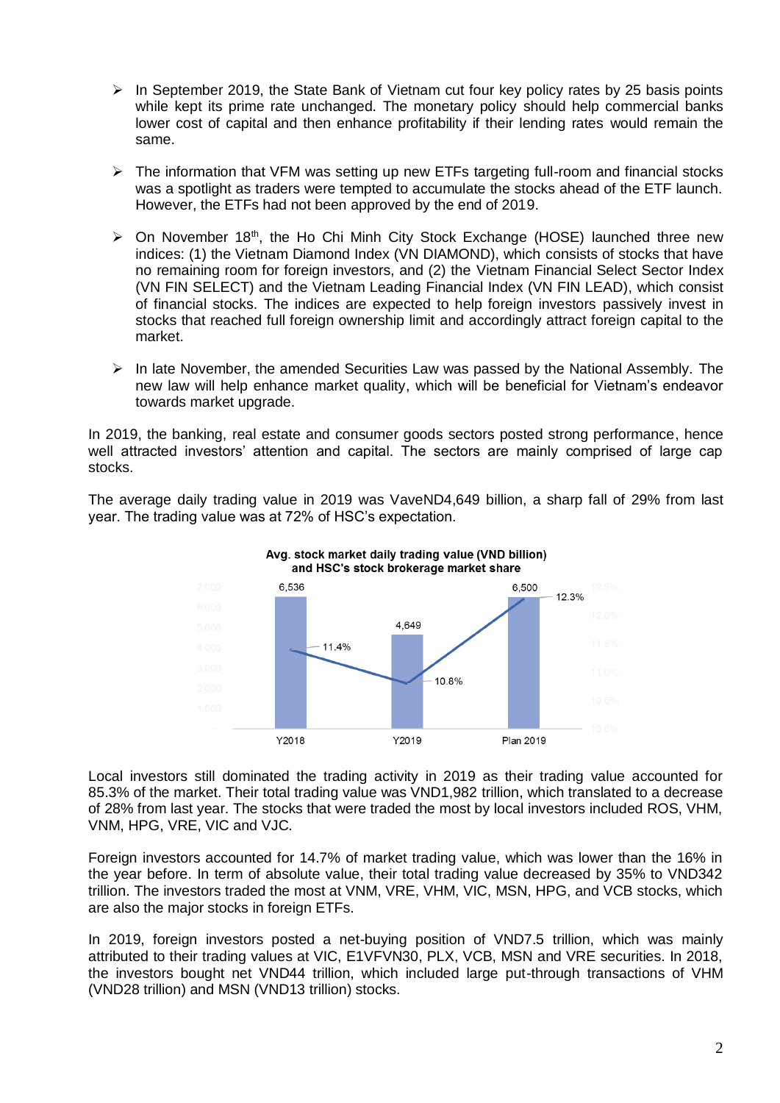- $\triangleright$  In September 2019, the State Bank of Vietnam cut four key policy rates by 25 basis points while kept its prime rate unchanged. The monetary policy should help commercial banks lower cost of capital and then enhance profitability if their lending rates would remain the same.
- $\triangleright$  The information that VFM was setting up new ETFs targeting full-room and financial stocks was a spotlight as traders were tempted to accumulate the stocks ahead of the ETF launch. However, the ETFs had not been approved by the end of 2019.
- $\triangleright$  On November 18<sup>th</sup>, the Ho Chi Minh City Stock Exchange (HOSE) launched three new indices: (1) the Vietnam Diamond Index (VN DIAMOND), which consists of stocks that have no remaining room for foreign investors, and (2) the Vietnam Financial Select Sector Index (VN FIN SELECT) and the Vietnam Leading Financial Index (VN FIN LEAD), which consist of financial stocks. The indices are expected to help foreign investors passively invest in stocks that reached full foreign ownership limit and accordingly attract foreign capital to the market.
- $\triangleright$  In late November, the amended Securities Law was passed by the National Assembly. The new law will help enhance market quality, which will be beneficial for Vietnam's endeavor towards market upgrade.

In 2019, the banking, real estate and consumer goods sectors posted strong performance, hence well attracted investors' attention and capital. The sectors are mainly comprised of large cap stocks.

The average daily trading value in 2019 was VaveND4,649 billion, a sharp fall of 29% from last year. The trading value was at 72% of HSC's expectation.





Local investors still dominated the trading activity in 2019 as their trading value accounted for 85.3% of the market. Their total trading value was VND1,982 trillion, which translated to a decrease of 28% from last year. The stocks that were traded the most by local investors included ROS, VHM, VNM, HPG, VRE, VIC and VJC.

Foreign investors accounted for 14.7% of market trading value, which was lower than the 16% in the year before. In term of absolute value, their total trading value decreased by 35% to VND342 trillion. The investors traded the most at VNM, VRE, VHM, VIC, MSN, HPG, and VCB stocks, which are also the major stocks in foreign ETFs.

In 2019, foreign investors posted a net-buying position of VND7.5 trillion, which was mainly attributed to their trading values at VIC, E1VFVN30, PLX, VCB, MSN and VRE securities. In 2018, the investors bought net VND44 trillion, which included large put-through transactions of VHM (VND28 trillion) and MSN (VND13 trillion) stocks.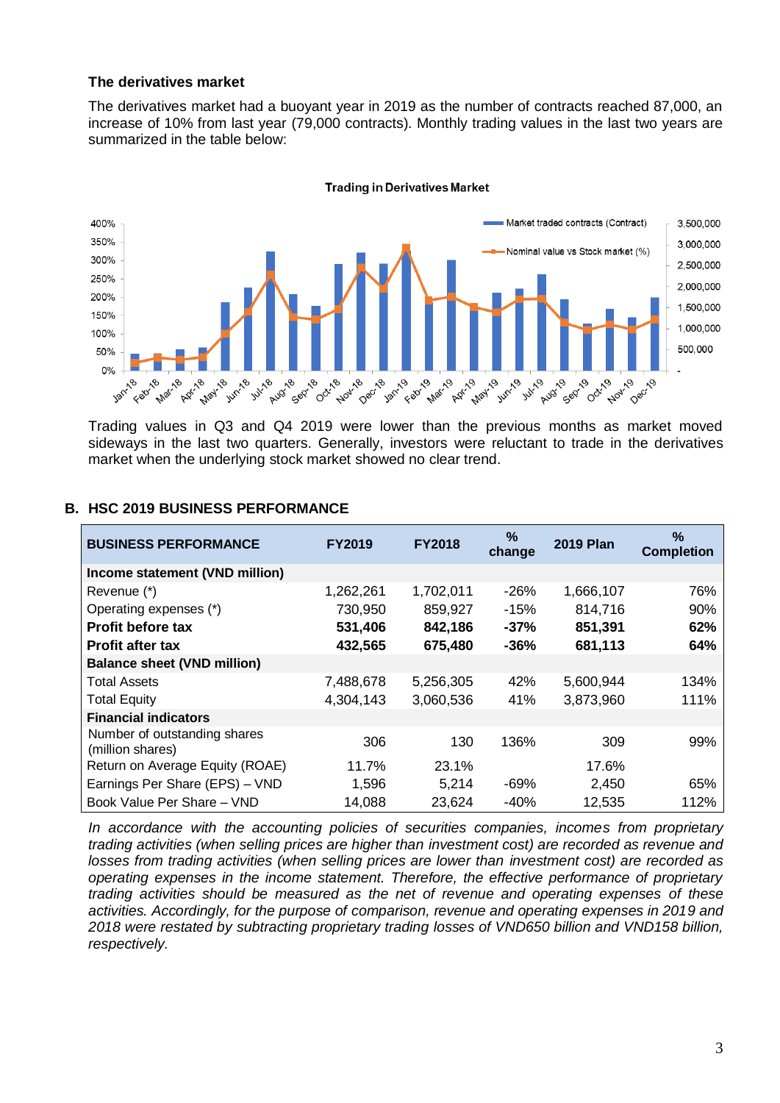#### **The derivatives market**

The derivatives market had a buoyant year in 2019 as the number of contracts reached 87,000, an increase of 10% from last year (79,000 contracts). Monthly trading values in the last two years are summarized in the table below:



Trading values in Q3 and Q4 2019 were lower than the previous months as market moved sideways in the last two quarters. Generally, investors were reluctant to trade in the derivatives market when the underlying stock market showed no clear trend.

## **BUSINESS PERFORMANCE FY2019 FY2018 % change 2019 Plan % Completion Income statement (VND million)** Revenue (\*) 1,262,261 1,702,011 -26% 1,666,107 76% Operating expenses (\*)  $\overline{730,950}$  859,927 -15% 814,716 90% **Profit before tax 531,406 842,186 -37% 851,391 62% Profit after tax 432,565 675,480 -36% 681,113 64% Balance sheet (VND million)** Total Assets 7,488,678 5,256,305 42% 5,600,944 134% Total Equity 4,304,143 3,060,536 41% 3,873,960 111% **Financial indicators** Number of outstanding shares  $\frac{1}{2}$  (million shares) 306 130 136% 309 99% Return on Average Equity (ROAE) 11.7% 23.1% 17.6% Earnings Per Share (EPS) – VND 1,596 5,214 -69% 2,450 65% Book Value Per Share – VND 14,088 23,624 -40% 12,535 112%

## **B. HSC 2019 BUSINESS PERFORMANCE**

*In accordance with the accounting policies of securities companies, incomes from proprietary trading activities (when selling prices are higher than investment cost) are recorded as revenue and losses from trading activities (when selling prices are lower than investment cost) are recorded as operating expenses in the income statement. Therefore, the effective performance of proprietary trading activities should be measured as the net of revenue and operating expenses of these activities. Accordingly, for the purpose of comparison, revenue and operating expenses in 2019 and 2018 were restated by subtracting proprietary trading losses of VND650 billion and VND158 billion, respectively.*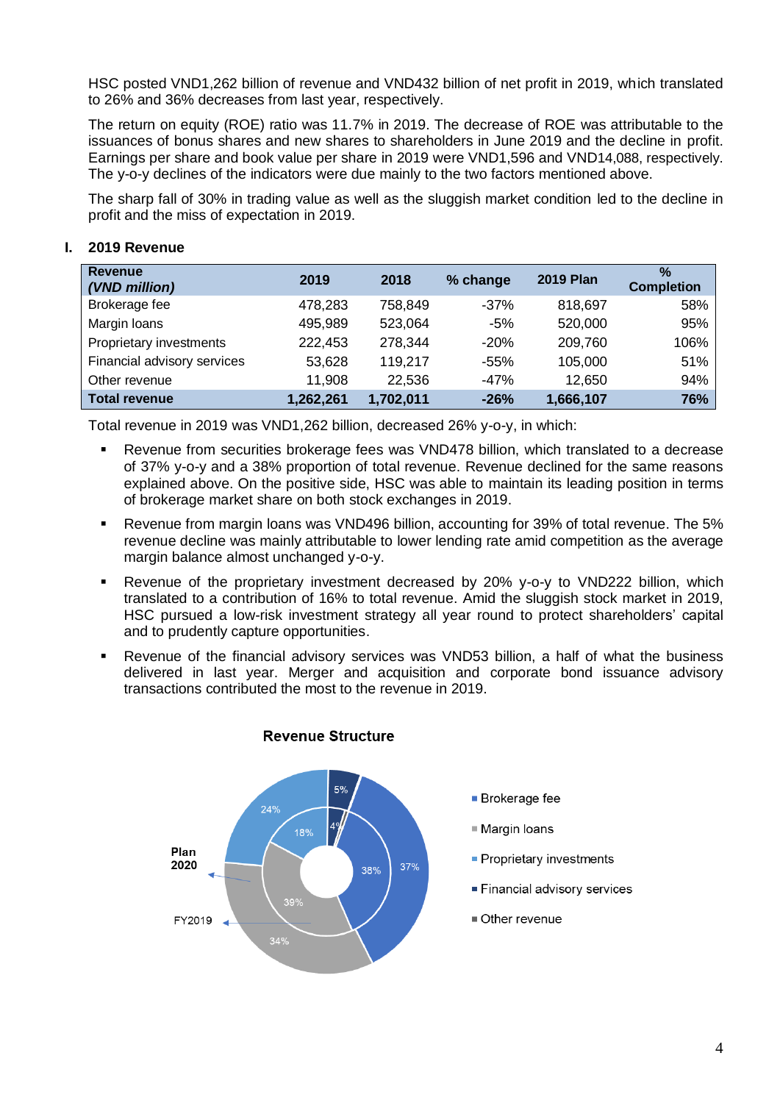HSC posted VND1,262 billion of revenue and VND432 billion of net profit in 2019, which translated to 26% and 36% decreases from last year, respectively.

The return on equity (ROE) ratio was 11.7% in 2019. The decrease of ROE was attributable to the issuances of bonus shares and new shares to shareholders in June 2019 and the decline in profit. Earnings per share and book value per share in 2019 were VND1,596 and VND14,088, respectively. The y-o-y declines of the indicators were due mainly to the two factors mentioned above.

The sharp fall of 30% in trading value as well as the sluggish market condition led to the decline in profit and the miss of expectation in 2019.

| <b>Revenue</b><br>(VND million) | 2019      | 2018      | % change | <b>2019 Plan</b> | $\frac{0}{2}$<br><b>Completion</b> |
|---------------------------------|-----------|-----------|----------|------------------|------------------------------------|
| Brokerage fee                   | 478,283   | 758,849   | $-37%$   | 818,697          | 58%                                |
| Margin Ioans                    | 495,989   | 523,064   | $-5%$    | 520,000          | 95%                                |
| Proprietary investments         | 222,453   | 278,344   | $-20%$   | 209,760          | 106%                               |
| Financial advisory services     | 53,628    | 119.217   | -55%     | 105,000          | 51%                                |
| Other revenue                   | 11,908    | 22,536    | $-47%$   | 12,650           | 94%                                |
| <b>Total revenue</b>            | 1,262,261 | 1,702,011 | $-26%$   | 1,666,107        | 76%                                |

## **I. 2019 Revenue**

Total revenue in 2019 was VND1,262 billion, decreased 26% y-o-y, in which:

- Revenue from securities brokerage fees was VND478 billion, which translated to a decrease of 37% y-o-y and a 38% proportion of total revenue. Revenue declined for the same reasons explained above. On the positive side, HSC was able to maintain its leading position in terms of brokerage market share on both stock exchanges in 2019.
- Revenue from margin loans was VND496 billion, accounting for 39% of total revenue. The 5% revenue decline was mainly attributable to lower lending rate amid competition as the average margin balance almost unchanged y-o-y.
- Revenue of the proprietary investment decreased by 20% y-o-y to VND222 billion, which translated to a contribution of 16% to total revenue. Amid the sluggish stock market in 2019, HSC pursued a low-risk investment strategy all year round to protect shareholders' capital and to prudently capture opportunities.
- Revenue of the financial advisory services was VND53 billion, a half of what the business delivered in last year. Merger and acquisition and corporate bond issuance advisory transactions contributed the most to the revenue in 2019.



#### **Revenue Structure**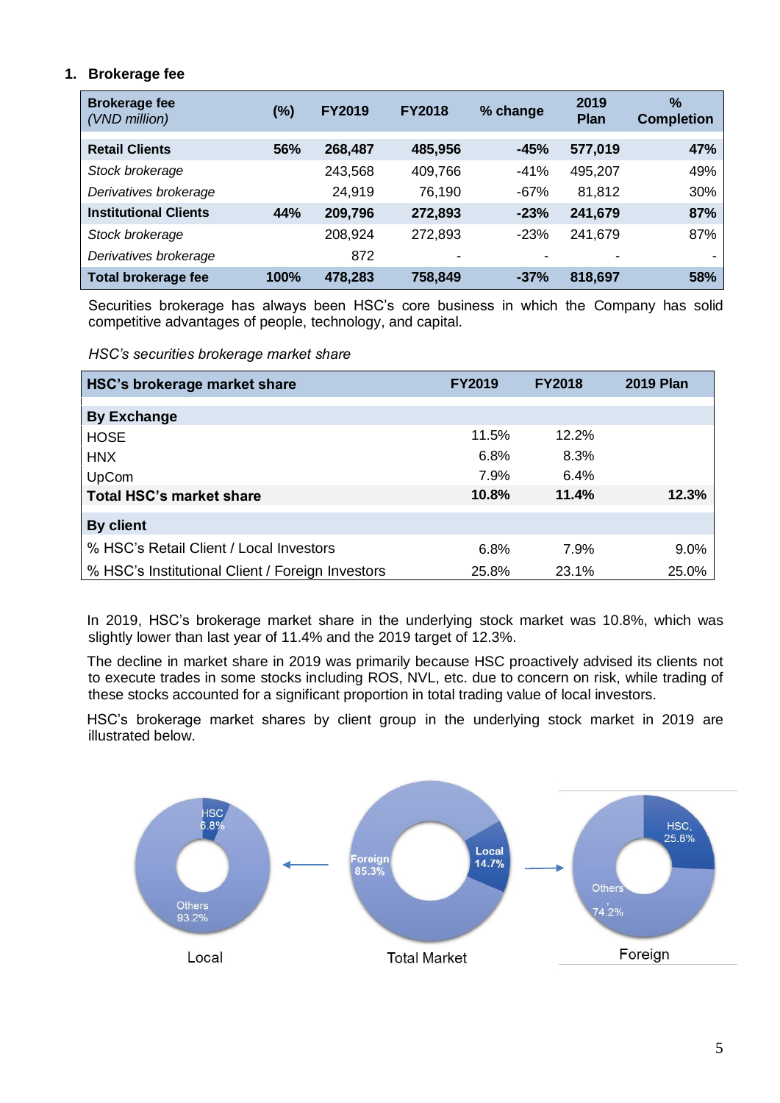# **1. Brokerage fee**

| <b>Brokerage fee</b><br>(VND million) | (%)        | <b>FY2019</b> | <b>FY2018</b> | % change | 2019<br><b>Plan</b> | $\frac{9}{6}$<br><b>Completion</b> |
|---------------------------------------|------------|---------------|---------------|----------|---------------------|------------------------------------|
| <b>Retail Clients</b>                 | <b>56%</b> | 268,487       | 485,956       | $-45%$   | 577,019             | 47%                                |
| Stock brokerage                       |            | 243,568       | 409,766       | $-41%$   | 495,207             | 49%                                |
| Derivatives brokerage                 |            | 24,919        | 76,190        | $-67%$   | 81,812              | 30%                                |
| <b>Institutional Clients</b>          | 44%        | 209,796       | 272,893       | $-23%$   | 241,679             | 87%                                |
| Stock brokerage                       |            | 208,924       | 272,893       | $-23%$   | 241,679             | 87%                                |
| Derivatives brokerage                 |            | 872           |               |          | ٠                   |                                    |
| <b>Total brokerage fee</b>            | 100%       | 478,283       | 758,849       | $-37%$   | 818,697             | 58%                                |

Securities brokerage has always been HSC's core business in which the Company has solid competitive advantages of people, technology, and capital.

*HSC's securities brokerage market share*

| HSC's brokerage market share                     | <b>FY2019</b> | <b>FY2018</b> | <b>2019 Plan</b> |
|--------------------------------------------------|---------------|---------------|------------------|
|                                                  |               |               |                  |
| <b>By Exchange</b>                               |               |               |                  |
| <b>HOSE</b>                                      | 11.5%         | 12.2%         |                  |
| <b>HNX</b>                                       | 6.8%          | 8.3%          |                  |
| UpCom                                            | 7.9%          | 6.4%          |                  |
| <b>Total HSC's market share</b>                  | 10.8%         | 11.4%         | 12.3%            |
|                                                  |               |               |                  |
| By client                                        |               |               |                  |
| % HSC's Retail Client / Local Investors          | 6.8%          | 7.9%          | 9.0%             |
| % HSC's Institutional Client / Foreign Investors | 25.8%         | 23.1%         | 25.0%            |

In 2019, HSC's brokerage market share in the underlying stock market was 10.8%, which was slightly lower than last year of 11.4% and the 2019 target of 12.3%.

The decline in market share in 2019 was primarily because HSC proactively advised its clients not to execute trades in some stocks including ROS, NVL, etc. due to concern on risk, while trading of these stocks accounted for a significant proportion in total trading value of local investors.

HSC's brokerage market shares by client group in the underlying stock market in 2019 are illustrated below.

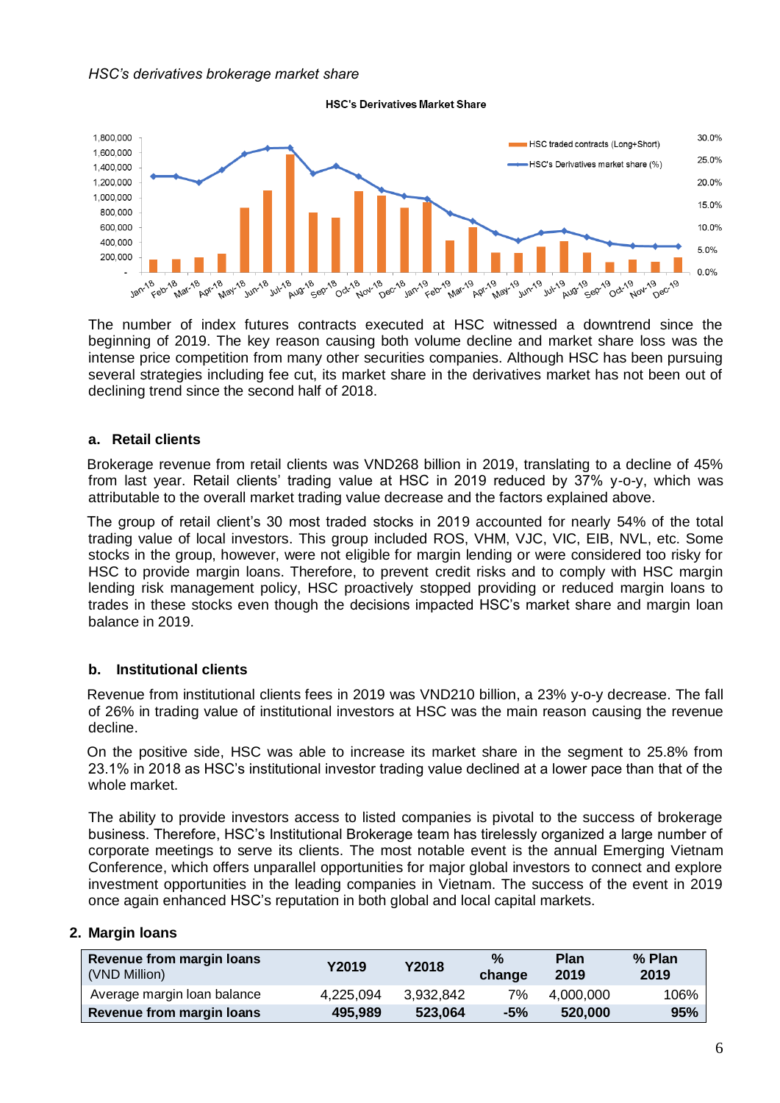

**HSC's Derivatives Market Share** 

The number of index futures contracts executed at HSC witnessed a downtrend since the beginning of 2019. The key reason causing both volume decline and market share loss was the intense price competition from many other securities companies. Although HSC has been pursuing several strategies including fee cut, its market share in the derivatives market has not been out of declining trend since the second half of 2018.

## **a. Retail clients**

Brokerage revenue from retail clients was VND268 billion in 2019, translating to a decline of 45% from last year. Retail clients' trading value at HSC in 2019 reduced by 37% y-o-y, which was attributable to the overall market trading value decrease and the factors explained above.

The group of retail client's 30 most traded stocks in 2019 accounted for nearly 54% of the total trading value of local investors. This group included ROS, VHM, VJC, VIC, EIB, NVL, etc. Some stocks in the group, however, were not eligible for margin lending or were considered too risky for HSC to provide margin loans. Therefore, to prevent credit risks and to comply with HSC margin lending risk management policy, HSC proactively stopped providing or reduced margin loans to trades in these stocks even though the decisions impacted HSC's market share and margin loan balance in 2019.

## **b. Institutional clients**

Revenue from institutional clients fees in 2019 was VND210 billion, a 23% y-o-y decrease. The fall of 26% in trading value of institutional investors at HSC was the main reason causing the revenue decline.

On the positive side, HSC was able to increase its market share in the segment to 25.8% from 23.1% in 2018 as HSC's institutional investor trading value declined at a lower pace than that of the whole market.

The ability to provide investors access to listed companies is pivotal to the success of brokerage business. Therefore, HSC's Institutional Brokerage team has tirelessly organized a large number of corporate meetings to serve its clients. The most notable event is the annual Emerging Vietnam Conference, which offers unparallel opportunities for major global investors to connect and explore investment opportunities in the leading companies in Vietnam. The success of the event in 2019 once again enhanced HSC's reputation in both global and local capital markets.

#### **2. Margin loans**

| Revenue from margin loans<br>(VND Million) | Y2019     | Y2018     | $\%$<br>change | Plan<br>2019 | % Plan<br>2019 |
|--------------------------------------------|-----------|-----------|----------------|--------------|----------------|
| Average margin loan balance                | 4,225,094 | 3,932,842 | 7%             | 4.000.000    | 106%           |
| Revenue from margin loans                  | 495,989   | 523.064   | $-5%$          | 520,000      | 95%            |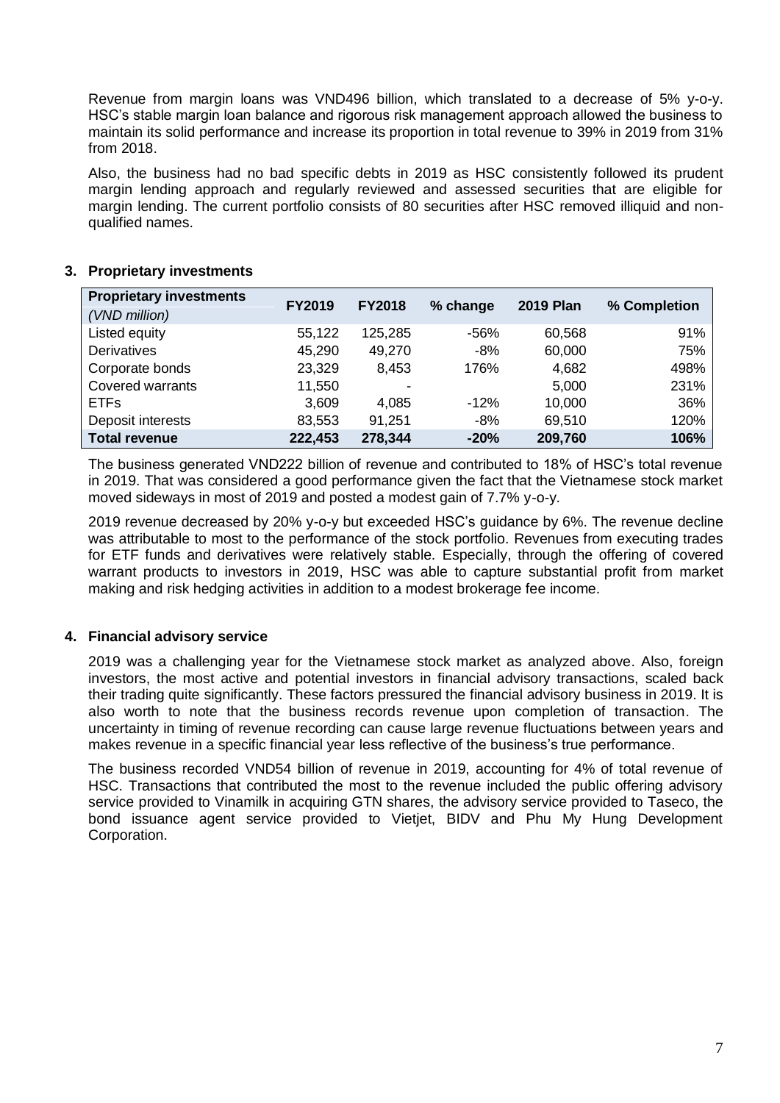Revenue from margin loans was VND496 billion, which translated to a decrease of 5% y-o-y. HSC's stable margin loan balance and rigorous risk management approach allowed the business to maintain its solid performance and increase its proportion in total revenue to 39% in 2019 from 31% from 2018.

Also, the business had no bad specific debts in 2019 as HSC consistently followed its prudent margin lending approach and regularly reviewed and assessed securities that are eligible for margin lending. The current portfolio consists of 80 securities after HSC removed illiquid and nonqualified names.

## **3. Proprietary investments**

| <b>Proprietary investments</b> | <b>FY2019</b> | <b>FY2018</b>  | % change | <b>2019 Plan</b> | % Completion |
|--------------------------------|---------------|----------------|----------|------------------|--------------|
| (VND million)                  |               |                |          |                  |              |
| Listed equity                  | 55,122        | 125,285        | -56%     | 60,568           | 91%          |
| <b>Derivatives</b>             | 45,290        | 49,270         | $-8%$    | 60,000           | 75%          |
| Corporate bonds                | 23,329        | 8,453          | 176%     | 4,682            | 498%         |
| Covered warrants               | 11,550        | $\blacksquare$ |          | 5,000            | 231%         |
| <b>ETFs</b>                    | 3,609         | 4,085          | $-12%$   | 10,000           | 36%          |
| Deposit interests              | 83,553        | 91,251         | $-8%$    | 69,510           | 120%         |
| <b>Total revenue</b>           | 222,453       | 278,344        | $-20%$   | 209,760          | 106%         |

The business generated VND222 billion of revenue and contributed to 18% of HSC's total revenue in 2019. That was considered a good performance given the fact that the Vietnamese stock market moved sideways in most of 2019 and posted a modest gain of 7.7% y-o-y.

2019 revenue decreased by 20% y-o-y but exceeded HSC's guidance by 6%. The revenue decline was attributable to most to the performance of the stock portfolio. Revenues from executing trades for ETF funds and derivatives were relatively stable. Especially, through the offering of covered warrant products to investors in 2019, HSC was able to capture substantial profit from market making and risk hedging activities in addition to a modest brokerage fee income.

## **4. Financial advisory service**

2019 was a challenging year for the Vietnamese stock market as analyzed above. Also, foreign investors, the most active and potential investors in financial advisory transactions, scaled back their trading quite significantly. These factors pressured the financial advisory business in 2019. It is also worth to note that the business records revenue upon completion of transaction. The uncertainty in timing of revenue recording can cause large revenue fluctuations between years and makes revenue in a specific financial year less reflective of the business's true performance.

The business recorded VND54 billion of revenue in 2019, accounting for 4% of total revenue of HSC. Transactions that contributed the most to the revenue included the public offering advisory service provided to Vinamilk in acquiring GTN shares, the advisory service provided to Taseco, the bond issuance agent service provided to Vietjet, BIDV and Phu My Hung Development Corporation.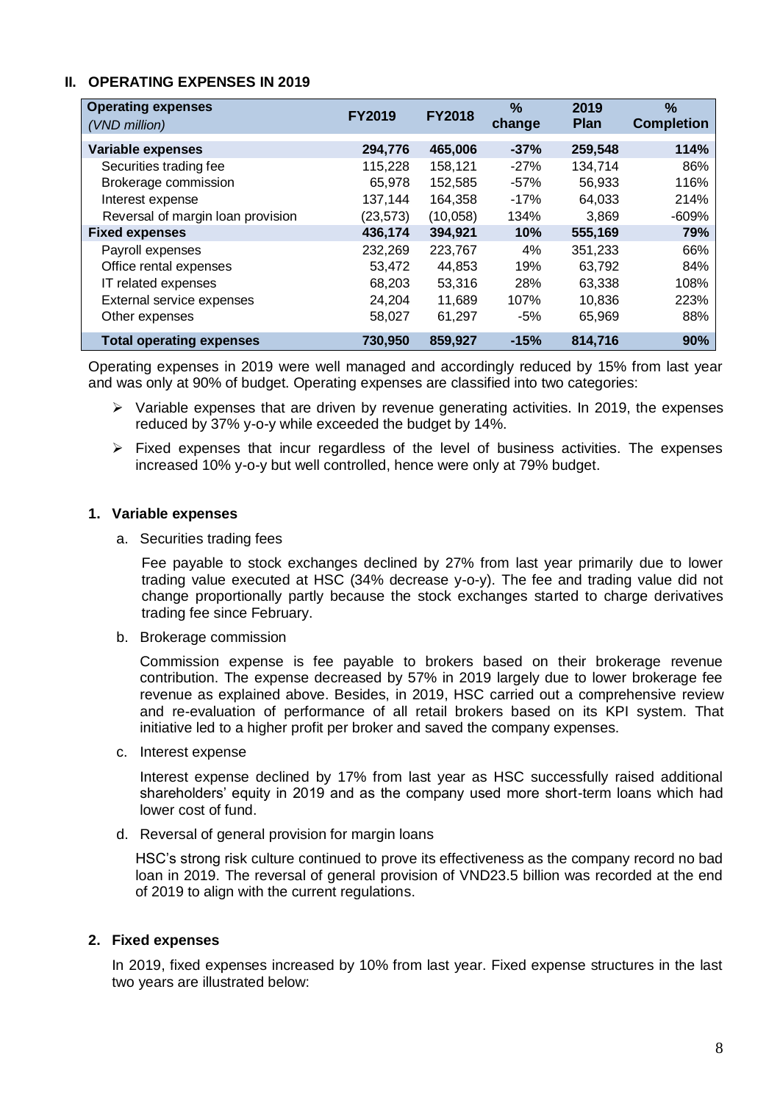## **II. OPERATING EXPENSES IN 2019**

| <b>Operating expenses</b><br>(VND million) | <b>FY2019</b> | <b>FY2018</b> | $\%$<br>change | 2019<br><b>Plan</b> | $\%$<br><b>Completion</b> |
|--------------------------------------------|---------------|---------------|----------------|---------------------|---------------------------|
| <b>Variable expenses</b>                   | 294,776       | 465,006       | $-37%$         | 259,548             | 114%                      |
| Securities trading fee                     | 115,228       | 158,121       | $-27%$         | 134,714             | 86%                       |
| Brokerage commission                       | 65,978        | 152,585       | $-57%$         | 56,933              | 116%                      |
| Interest expense                           | 137,144       | 164,358       | $-17%$         | 64.033              | 214%                      |
| Reversal of margin loan provision          | (23, 573)     | (10,058)      | 134%           | 3,869               | $-609%$                   |
| <b>Fixed expenses</b>                      | 436,174       | 394,921       | 10%            | 555,169             | 79%                       |
| Payroll expenses                           | 232,269       | 223,767       | 4%             | 351,233             | 66%                       |
| Office rental expenses                     | 53,472        | 44,853        | 19%            | 63.792              | 84%                       |
| IT related expenses                        | 68,203        | 53,316        | 28%            | 63,338              | 108%                      |
| External service expenses                  | 24,204        | 11,689        | 107%           | 10,836              | 223%                      |
| Other expenses                             | 58,027        | 61,297        | $-5%$          | 65,969              | 88%                       |
| <b>Total operating expenses</b>            | 730,950       | 859,927       | $-15%$         | 814,716             | 90%                       |

Operating expenses in 2019 were well managed and accordingly reduced by 15% from last year and was only at 90% of budget. Operating expenses are classified into two categories:

- $\triangleright$  Variable expenses that are driven by revenue generating activities. In 2019, the expenses reduced by 37% y-o-y while exceeded the budget by 14%.
- $\triangleright$  Fixed expenses that incur regardless of the level of business activities. The expenses increased 10% y-o-y but well controlled, hence were only at 79% budget.

#### **1. Variable expenses**

a. Securities trading fees

Fee payable to stock exchanges declined by 27% from last year primarily due to lower trading value executed at HSC (34% decrease y-o-y). The fee and trading value did not change proportionally partly because the stock exchanges started to charge derivatives trading fee since February.

b. Brokerage commission

Commission expense is fee payable to brokers based on their brokerage revenue contribution. The expense decreased by 57% in 2019 largely due to lower brokerage fee revenue as explained above. Besides, in 2019, HSC carried out a comprehensive review and re-evaluation of performance of all retail brokers based on its KPI system. That initiative led to a higher profit per broker and saved the company expenses.

c. Interest expense

Interest expense declined by 17% from last year as HSC successfully raised additional shareholders' equity in 2019 and as the company used more short-term loans which had lower cost of fund.

d. Reversal of general provision for margin loans

HSC's strong risk culture continued to prove its effectiveness as the company record no bad loan in 2019. The reversal of general provision of VND23.5 billion was recorded at the end of 2019 to align with the current regulations.

## **2. Fixed expenses**

In 2019, fixed expenses increased by 10% from last year. Fixed expense structures in the last two years are illustrated below: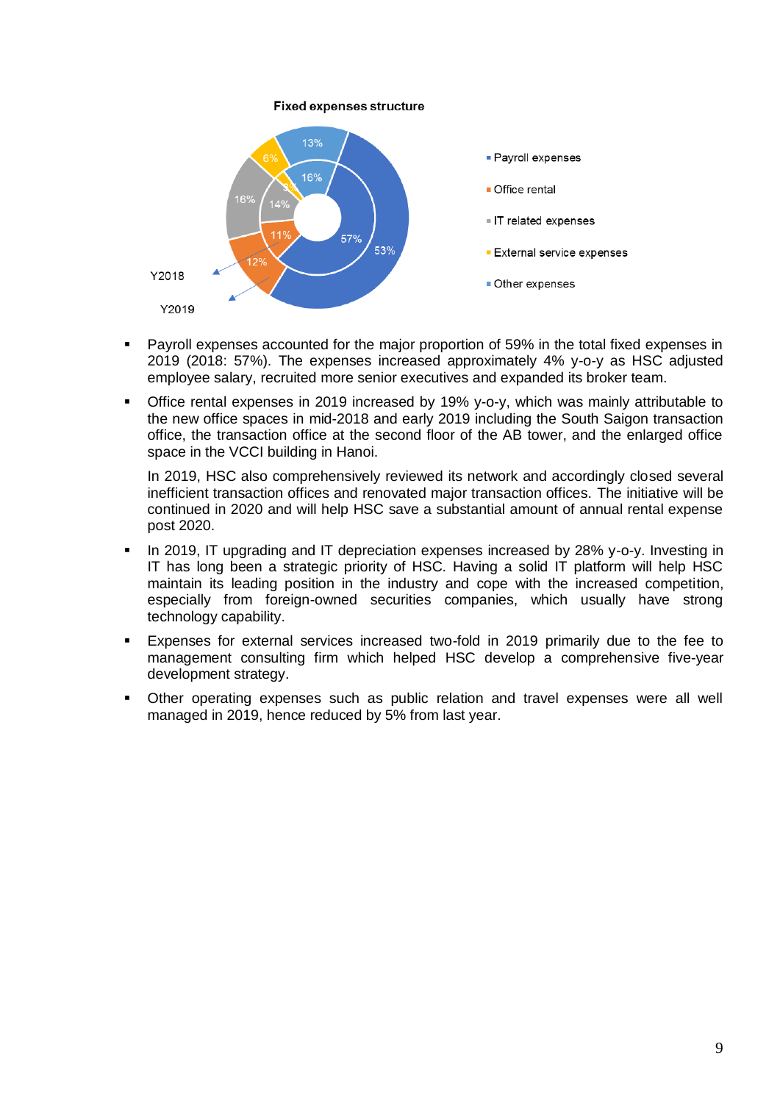#### **Fixed expenses structure**



- Payroll expenses accounted for the major proportion of 59% in the total fixed expenses in 2019 (2018: 57%). The expenses increased approximately 4% y-o-y as HSC adjusted employee salary, recruited more senior executives and expanded its broker team.
- Office rental expenses in 2019 increased by 19% y-o-y, which was mainly attributable to the new office spaces in mid-2018 and early 2019 including the South Saigon transaction office, the transaction office at the second floor of the AB tower, and the enlarged office space in the VCCI building in Hanoi.

In 2019, HSC also comprehensively reviewed its network and accordingly closed several inefficient transaction offices and renovated major transaction offices. The initiative will be continued in 2020 and will help HSC save a substantial amount of annual rental expense post 2020.

- In 2019, IT upgrading and IT depreciation expenses increased by 28% y-o-y. Investing in IT has long been a strategic priority of HSC. Having a solid IT platform will help HSC maintain its leading position in the industry and cope with the increased competition, especially from foreign-owned securities companies, which usually have strong technology capability.
- Expenses for external services increased two-fold in 2019 primarily due to the fee to management consulting firm which helped HSC develop a comprehensive five-year development strategy.
- Other operating expenses such as public relation and travel expenses were all well managed in 2019, hence reduced by 5% from last year.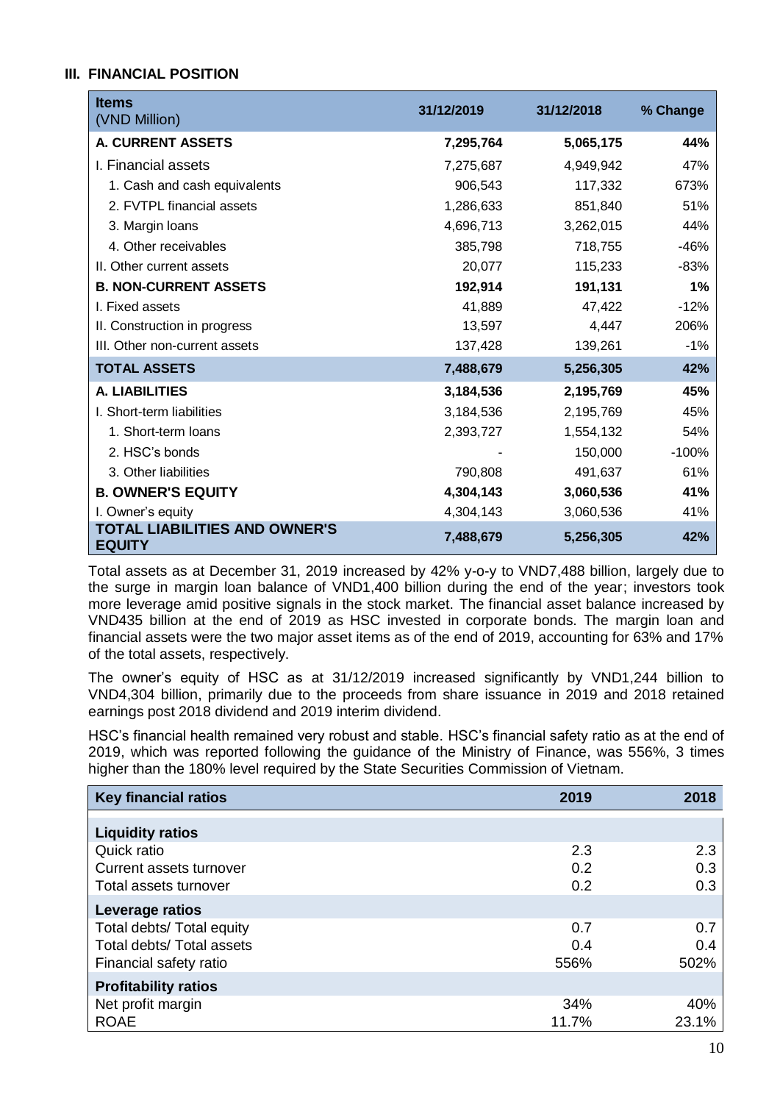## **III. FINANCIAL POSITION**

| <b>Items</b><br>(VND Million)                  | 31/12/2019 | 31/12/2018 | % Change |
|------------------------------------------------|------------|------------|----------|
| <b>A. CURRENT ASSETS</b>                       | 7,295,764  | 5,065,175  | 44%      |
| I. Financial assets                            | 7,275,687  | 4,949,942  | 47%      |
| 1. Cash and cash equivalents                   | 906,543    | 117,332    | 673%     |
| 2. FVTPL financial assets                      | 1,286,633  | 851,840    | 51%      |
| 3. Margin Ioans                                | 4,696,713  | 3,262,015  | 44%      |
| 4. Other receivables                           | 385,798    | 718,755    | $-46%$   |
| II. Other current assets                       | 20,077     | 115,233    | $-83%$   |
| <b>B. NON-CURRENT ASSETS</b>                   | 192,914    | 191,131    | 1%       |
| I. Fixed assets                                | 41,889     | 47,422     | $-12%$   |
| II. Construction in progress                   | 13,597     | 4,447      | 206%     |
| III. Other non-current assets                  | 137,428    | 139,261    | $-1%$    |
| <b>TOTAL ASSETS</b>                            | 7,488,679  | 5,256,305  | 42%      |
| <b>A. LIABILITIES</b>                          | 3,184,536  | 2,195,769  | 45%      |
| I. Short-term liabilities                      | 3,184,536  | 2,195,769  | 45%      |
| 1. Short-term loans                            | 2,393,727  | 1,554,132  | 54%      |
| 2. HSC's bonds                                 |            | 150,000    | $-100%$  |
| 3. Other liabilities                           | 790,808    | 491,637    | 61%      |
| <b>B. OWNER'S EQUITY</b>                       | 4,304,143  | 3,060,536  | 41%      |
| I. Owner's equity                              | 4,304,143  | 3,060,536  | 41%      |
| TOTAL LIABILITIES AND OWNER'S<br><b>EQUITY</b> | 7,488,679  | 5,256,305  | 42%      |

Total assets as at December 31, 2019 increased by 42% y-o-y to VND7,488 billion, largely due to the surge in margin loan balance of VND1,400 billion during the end of the year; investors took more leverage amid positive signals in the stock market. The financial asset balance increased by VND435 billion at the end of 2019 as HSC invested in corporate bonds. The margin loan and financial assets were the two major asset items as of the end of 2019, accounting for 63% and 17% of the total assets, respectively.

The owner's equity of HSC as at 31/12/2019 increased significantly by VND1,244 billion to VND4,304 billion, primarily due to the proceeds from share issuance in 2019 and 2018 retained earnings post 2018 dividend and 2019 interim dividend.

HSC's financial health remained very robust and stable. HSC's financial safety ratio as at the end of 2019, which was reported following the guidance of the Ministry of Finance, was 556%, 3 times higher than the 180% level required by the State Securities Commission of Vietnam.

| <b>Key financial ratios</b> | 2019  | 2018  |
|-----------------------------|-------|-------|
| <b>Liquidity ratios</b>     |       |       |
| Quick ratio                 | 2.3   | 2.3   |
| Current assets turnover     | 0.2   | 0.3   |
| Total assets turnover       | 0.2   | 0.3   |
| Leverage ratios             |       |       |
| Total debts/ Total equity   | 0.7   | 0.7   |
| Total debts/ Total assets   | 0.4   | 0.4   |
| Financial safety ratio      | 556%  | 502%  |
| <b>Profitability ratios</b> |       |       |
| Net profit margin           | 34%   | 40%   |
| <b>ROAE</b>                 | 11.7% | 23.1% |